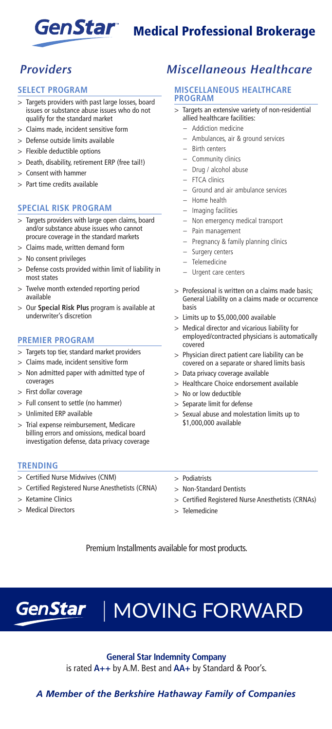# GenStar Medical Professional Brokerage

### **SELECT PROGRAM**

- Targets providers with past large losses, board issues or substance abuse issues who do not qualify for the standard market
- > Claims made, incident sensitive form
- > Defense outside limits available
- > Flexible deductible options
- > Death, disability, retirement ERP (free tail!)
- > Consent with hammer
- > Part time credits available

## **SPECIAL RISK PROGRAM**

- > Targets providers with large open claims, board and/or substance abuse issues who cannot procure coverage in the standard markets
- > Claims made, written demand form
- > No consent privileges
- > Defense costs provided within limit of liability in most states
- > Twelve month extended reporting period available
- > Our **Special Risk Plus** program is available at underwriter's discretion

## **PREMIER PROGRAM**

- > Targets top tier, standard market providers
- > Claims made, incident sensitive form
- > Non admitted paper with admitted type of coverages
- > First dollar coverage
- > Full consent to settle (no hammer)
- > Unlimited ERP available
- > Trial expense reimbursement, Medicare billing errors and omissions, medical board investigation defense, data privacy coverage

### **TRENDING**

- > Certified Nurse Midwives (CNM)
- > Certified Registered Nurse Anesthetists (CRNA)
- > Ketamine Clinics
- > Medical Directors

# *Providers Miscellaneous Healthcare*

### **MISCELLANEOUS HEALTHCARE PROGRAM**

- > Targets an extensive variety of non-residential allied healthcare facilities:
	- Addiction medicine
	- Ambulances, air & ground services
	- Birth centers
	- Community clinics
	- Drug / alcohol abuse
	- FTCA clinics
	- Ground and air ambulance services
	- Home health
	- Imaging facilities
	- Non emergency medical transport
	- Pain management
	- Pregnancy & family planning clinics
	- Surgery centers
	- Telemedicine
	- Urgent care centers
- > Professional is written on a claims made basis; General Liability on a claims made or occurrence basis
- > Limits up to \$5,000,000 available
- > Medical director and vicarious liability for employed/contracted physicians is automatically covered
- > Physician direct patient care liability can be covered on a separate or shared limits basis
- > Data privacy coverage available
- > Healthcare Choice endorsement available
- > No or low deductible
- > Separate limit for defense
- > Sexual abuse and molestation limits up to \$1,000,000 available
- > Podiatrists
- > Non-Standard Dentists
- > Certified Registered Nurse Anesthetists (CRNAs)
- > Telemedicine

Premium Installments available for most products.



# | MOVING FORWARD

**General Star Indemnity Company**

is rated **A++** by A.M. Best and **AA+** by Standard & Poor's.

*A Member of the Berkshire Hathaway Family of Companies*